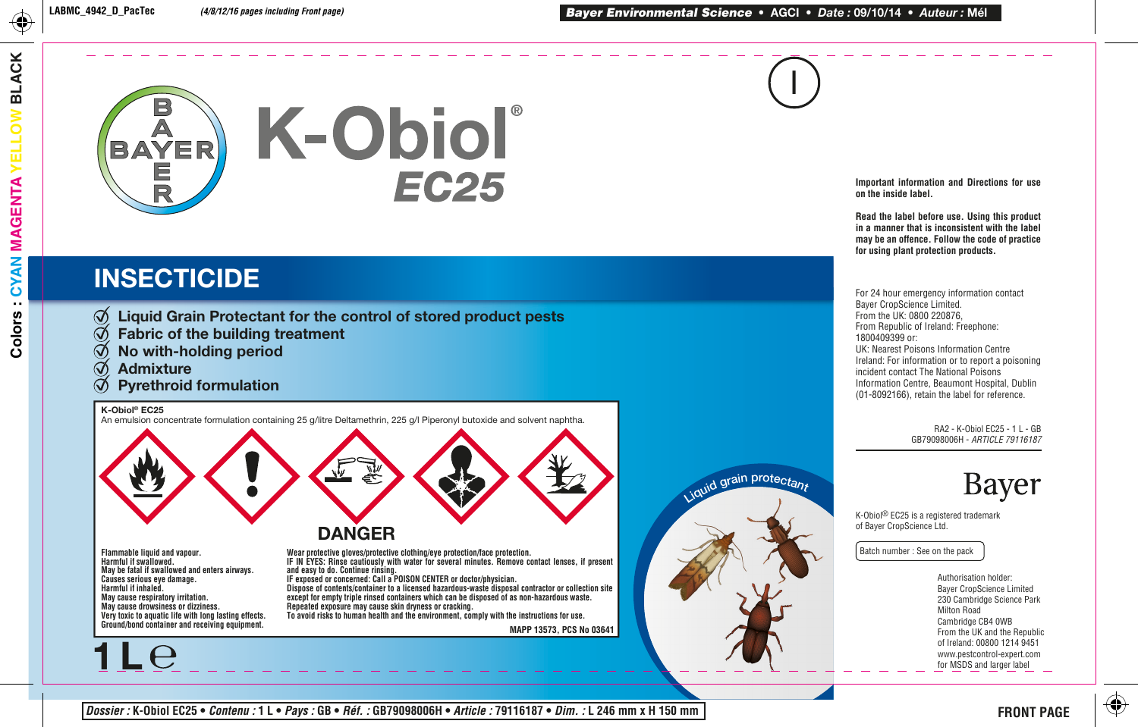

# **INSECTICIDE**

- $\emptyset$  Liquid Grain Protectant for the control of stored product pests
- Fabric of the building treatment  $\bm G$
- $\bm G$ No with-holding period
- Admixture
- Pyrethroid formulation

K-Obiol® EC25

**1 L**

An emulsion concentrate formulation containing 25 g/litre Deltamethrin, 225 g/l Piperonyl butoxide and solvent naphtha.



**Harmful if swallowed. May be fatal if swallowed and enters airways. Causes serious eye damage. Harmful if inhaled. May cause respiratory irritation. May cause drowsiness or dizziness. Very toxic to aquatic life with long lasting effects. Ground/bond container and receiving equipment.** 

**Wear protective gloves/protective clothing/eye protection/face protection. IF IN EYES: Rinse cautiously with water for several minutes. Remove contact lenses, if present and easy to do. Continue rinsing.** 

**IF exposed or concerned: Call a POISON CENTER or doctor/physician. Dispose of contents/container to a licensed hazardous-waste disposal contractor or collection site except for empty triple rinsed containers which can be disposed of as non-hazardous waste. Repeated exposure may cause skin dryness or cracking. To avoid risks to human health and the environment, comply with the instructions for use.**

**MAPP 13573, PCS No 03641**



I

**Important information and Directions for use on the inside label.**

**Read the label before use. Using this product in a manner that is inconsistent with the label may be an offence. Follow the code of practice for using plant protection products.**

For 24 hour emergency information contact Bayer CropScience Limited. From the UK: 0800 220876, From Republic of Ireland: Freephone: 1800409399 or: UK: Nearest Poisons Information Centre Ireland: For information or to report a poisoning incident contact The National Poisons Information Centre, Beaumont Hospital, Dublin (01-8092166), retain the label for reference.

> RA2 - K-Obiol EC25 - 1 L - GB GB79098006H - *ARTICLE 79116187*

> > Bayer

K-Obiol® EC25 is a registered trademark of Bayer CropScience Ltd.

Batch number : See on the pack

Authorisation holder: Bayer CropScience Limited 230 Cambridge Science Park Milton Road Cambridge CB4 0WB From the UK and the Republic of Ireland: 00800 1214 9451 www.pestcontrol-expert.com for MSDS and larger label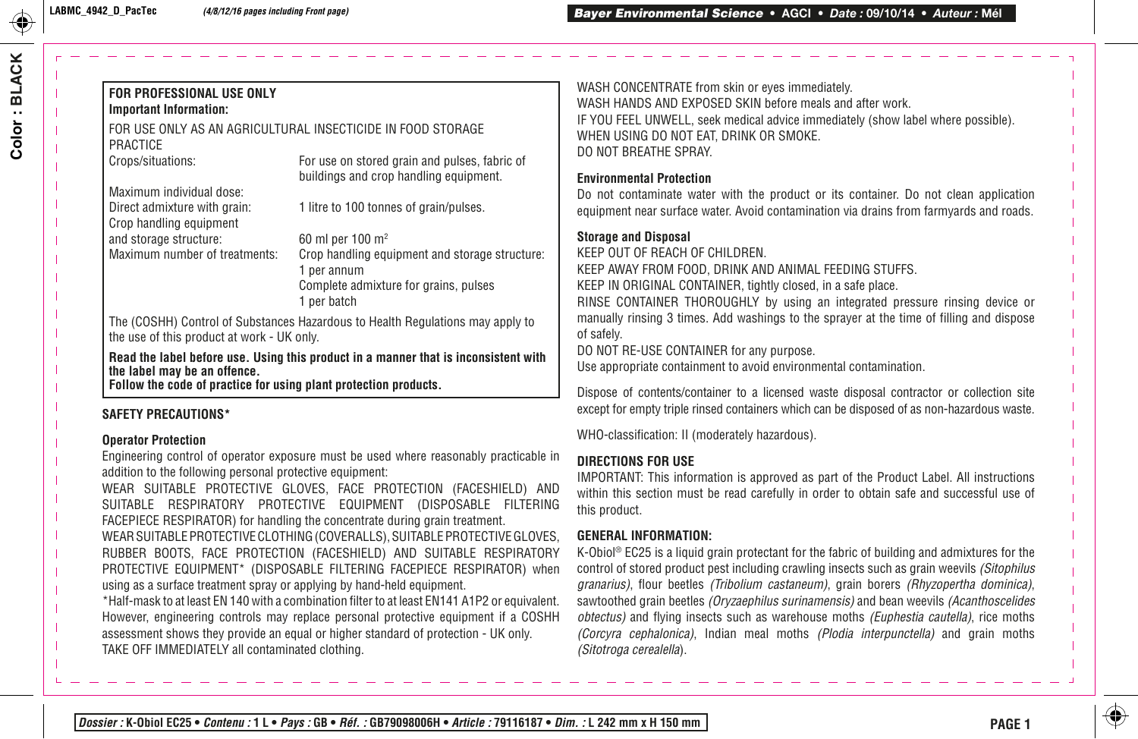#### **FOR PROFESSIONAL USE ONLY Important Information:**

#### FOR USE ONLY AS AN AGRICULTURAL INSECTICIDE IN FOOD STORAGE PRACTICE

Crops/situations: For use on stored grain and pulses, fabric of buildings and crop handling equipment.

Maximum individual dose: Crop handling equipment and storage structure:  $60$  ml per 100 m<sup>2</sup><br>Maximum number of treatments: Crop handling equ

Direct admixture with grain: 1 litre to 100 tonnes of grain/pulses.

Crop handling equipment and storage structure: 1 per annum Complete admixture for grains, pulses 1 per batch

The (COSHH) Control of Substances Hazardous to Health Regulations may apply to the use of this product at work - UK only.

**Read the label before use. Using this product in a manner that is inconsistent with the label may be an offence.**

**Follow the code of practice for using plant protection products.**

### **SAFETY PRECAUTIONS\***

#### **Operator Protection**

Engineering control of operator exposure must be used where reasonably practicable in addition to the following personal protective equipment:

WEAR SUITABLE PROTECTIVE GLOVES, FACE PROTECTION (FACESHIELD) AND SUITABLE RESPIRATORY PROTECTIVE EQUIPMENT (DISPOSABLE FILTERING FACEPIECE RESPIRATOR) for handling the concentrate during grain treatment.

WEAR SUITABLE PROTECTIVE CLOTHING (COVERALLS), SUITABLE PROTECTIVE GLOVES, RUBBER BOOTS, FACE PROTECTION (FACESHIELD) AND SUITABLE RESPIRATORY PROTECTIVE EQUIPMENT\* (DISPOSABLE FILTERING FACEPIECE RESPIRATOR) when using as a surface treatment spray or applying by hand-held equipment.

\*Half-mask to at least EN 140 with a combination filter to at least EN141 A1P2 or equivalent. However, engineering controls may replace personal protective equipment if a COSHH assessment shows they provide an equal or higher standard of protection - UK only. TAKE OFF IMMEDIATELY all contaminated clothing.

WASH CONCENTRATE from skin or eyes immediately. WASH HANDS AND EXPOSED SKIN before meals and after work. IF YOU FEEL UNWELL, seek medical advice immediately (show label where possible). WHEN USING DO NOT EAT, DRINK OR SMOKE. DO NOT BREATHE SPRAY.

#### **Environmental Protection**

Do not contaminate water with the product or its container. Do not clean application equipment near surface water. Avoid contamination via drains from farmyards and roads.

#### **Storage and Disposal**

KEEP OUT OF REACH OF CHILDREN.

KEEP AWAY FROM FOOD, DRINK AND ANIMAL FEEDING STUFFS.

KEEP IN ORIGINAL CONTAINER, tightly closed, in a safe place.

RINSE CONTAINER THOROUGHLY by using an integrated pressure rinsing device or manually rinsing 3 times. Add washings to the sprayer at the time of filling and dispose of safely.

DO NOT RE-USE CONTAINER for any purpose.

Use appropriate containment to avoid environmental contamination.

Dispose of contents/container to a licensed waste disposal contractor or collection site except for empty triple rinsed containers which can be disposed of as non-hazardous waste.

WHO-classification: II (moderately hazardous).

#### **DIRECTIONS FOR USE**

IMPORTANT: This information is approved as part of the Product Label. All instructions within this section must be read carefully in order to obtain safe and successful use of this product.

### **GENERAL INFORMATION:**

K-Obiol® EC25 is a liquid grain protectant for the fabric of building and admixtures for the control of stored product pest including crawling insects such as grain weevils *(Sitophilus granarius)*, flour beetles *(Tribolium castaneum)*, grain borers *(Rhyzopertha dominica)*, sawtoothed grain beetles *(Oryzaephilus surinamensis)* and bean weevils *(Acanthoscelides obtectus)* and flying insects such as warehouse moths *(Euphestia cautella)*, rice moths *(Corcyra cephalonica)*, Indian meal moths *(Plodia interpunctella)* and grain moths *(Sitotroga cerealella*).